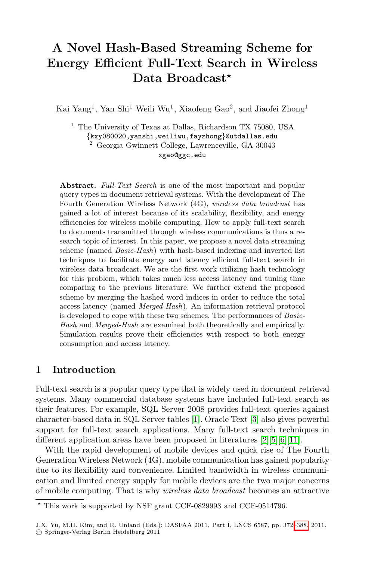# **A Novel Hash-Based Streaming Scheme for Energy Efficient Full-Text Search in Wireless Data Broadcast***-*

Kai Yang<sup>1</sup>, Yan Shi<sup>1</sup> Weili Wu<sup>1</sup>, Xiaofeng Gao<sup>2</sup>, and Jiaofei Zhong<sup>1</sup>

<sup>1</sup> The University of Texas at Dallas, Richardson TX 75080, USA *{*kxy080020,yanshi,weiliwu,fayzhong*}*@utdallas.edu <sup>2</sup> Georgia Gwinnett College, Lawrenceville, GA 30043 xgao@ggc.edu

**Abstract.** *Full-Text Search* is one of the most important and popular query types in document retrieval systems. With the development of The Fourth Generation Wireless Network (4G), *wireless data broadcast* has gained a lot of interest because of its scalability, flexibility, and energy efficiencies for wireless mobile computing. How to apply full-text search to documents transmitted through wireless communications is thus a research topic of interest. In this paper, we propose a novel data streaming scheme (named *Basic-Hash*) with hash-based indexing and inverted list techniques to facilitate energy and latency efficient full-text search in wireless data broadcast. We are the first work utilizing hash technology for this problem, which takes much less access latency and tuning time comparing to the previous literature. We further extend the proposed scheme by merging the hashed word indices in order to reduce the total access latency (named *Merged-Hash*). An information retrieval protocol is developed to cope with these two schemes. The performances of *Basic-Hash* and *Merged-Hash* are examined both theoretically and empirically. Simulation results prove their effic[ien](#page-15-1)cies with respect to both energy consumption and [acc](#page-15-0)ess latency.

## **1 Introduction**

Full-text search is a popular query type that is widely used in document retrieval systems. Many commercial database systems have included full-text search as their features. For example, SQL Server 2008 provides full-text queries against character-based data in SQL Server tables [1]. Oracle Text [3] also gives powerful support for full-text search applications. Many full-text search techniques in different application areas have been proposed in literatures [2][5][6][11].

With the rapid development of mobile devices [and q](#page-16-0)uick rise of The Fourth Generation Wireless Network (4G), mobile communication has gained popularity due to its flexibility and convenience. Limited bandwidth in wireless communication and limited energy supply for mobile devices are the two major concerns of mobile computing. That is why *wireless data broadcast* becomes an attractive

<sup>-</sup> This work is supported by NSF grant CCF-0829993 and CCF-0514796.

J.X. Yu, M.H. Kim, and R. Unland (Eds.): DASFAA 2011, Part I, LNCS 6587, pp. 372–388, 2011. -c Springer-Verlag Berlin Heidelberg 2011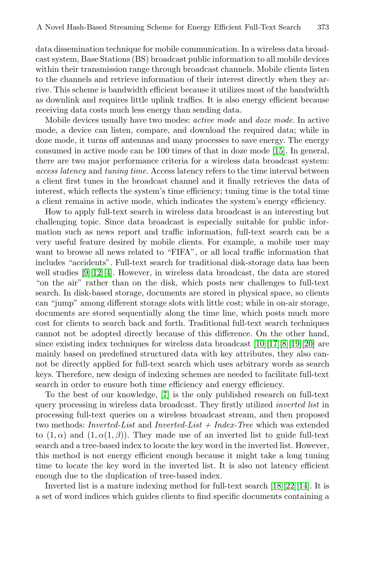data dissemination technique for mobile communication. In a wireless data broadcast system, Base Stations (BS) broadcast public information to all mobile devices within their transmission range through broa[dcas](#page-16-1)t channels. Mobile clients listen to the channels and retrieve information of their interest directly when they arrive. This scheme is bandwidth efficient because it utilizes most of the bandwidth as downlink and requires little uplink traffics. It is also energy efficient because receiving data costs much less energy than sending data.

Mobile devices usually have two modes: *active mode* and *doze mode*. In active mode, a device can listen, compare, and download the required data; while in doze mode, it turns off antennas and many processes to save energy. The energy consumed in active mode can be 100 times of that in doze mode [15]. In general, there are two major performance criteria for a wireless data broadcast system: *access latency* and *tuning time*. Access latency refers to the time interval between a client first tunes in the broadcast channel and it finally retrieves the data of [in](#page-15-2)terest, which reflects the system's time efficiency; tuning time is the total time a client remains in active mode, which indicates the system's energy efficiency.

How to apply full-text search in wireless data broadcast is an interesting but challenging topic. Since data broadcast is especially suitable for public information such as news report and traffic information, full-text search can be a very useful feature desired by mobile clients. For example, a mobile user may want to browse all news related to "FIFA", or all local traffic information that includes "accidents". Full-text search fo[r tr](#page-15-3)[adit](#page-16-2)[io](#page-15-4)[nal](#page-16-3) [disk](#page-16-4)-storage data has been well studies [9][12][4]. However, in wireless data broadcast, the data are stored "on the air" rather than on the disk, which posts new challenges to full-text search. In disk-based storage, documents are stored in physical space, so clients can "jump" among different storage slots with little cost; while in on-air storage, documents are [st](#page-15-5)ored sequentially along the time line, which posts much more cost for clients to search back and forth. Traditional full-text search techniques cannot not be adopted directly because of this difference. On the other hand, since existing index techniques for wireless data broadcast [10][17][8][19][20] are mainly based on predefined structured data with key attributes, they also cannot be directly applied for full-text search which uses arbitrary words as search keys. Therefore, new design of indexing schemes are needed to facilitate full-text search in order to ensure both time efficiency and energy efficiency.

To the best of our knowledge, [7] is the only published research on full-text query processing in wireless data broadcast. [The](#page-16-5)[y fi](#page-16-6)[rstl](#page-16-7)y utilized *inverted list* in processing full-text queries on a wireless broadcast stream, and then proposed two methods: *Inverted-List* and *Inverted-List + Index-Tree* which was extended to  $(1, \alpha)$  and  $(1, \alpha(1, \beta))$ . They made use of an inverted list to guide full-text search and a tree-based index to locate the key word in the inverted list. However, this method is not energy efficient enough because it might take a long tuning time to locate the key word in the inverted list. It is also not latency efficient enough due to the duplication of tree-based index.

Inverted list is a mature indexing method for full-text search [18][22][14]. It is a set of word indices which guides clients to find specific documents containing a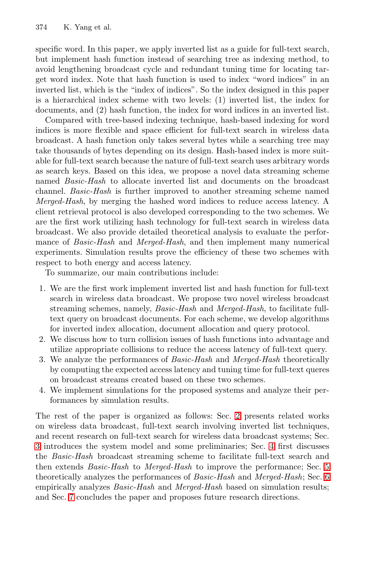specific word. In this paper, we apply inverted list as a guide for full-text search, but implement hash function instead of searching tree as indexing method, to avoid lengthening broadcast cycle and redundant tuning time for locating target word index. Note that hash function is used to index "word indices" in an inverted list, which is the "index of indices". So the index designed in this paper is a hierarchical index scheme with two levels: (1) inverted list, the index for documents, and (2) hash function, the index for word indices in an inverted list.

Compared with tree-based indexing technique, hash-based indexing for word indices is more flexible and space efficient for full-text search in wireless data broadcast. A hash function only takes several bytes while a searching tree may take thousands of bytes depending on its design. Hash-based index is more suitable for full-text search because the nature of full-text search uses arbitrary words as search keys. Based on this idea, we propose a novel data streaming scheme named *Basic-Hash* to allocate inverted list and documents on the broadcast channel. *Basic-Hash* is further improved to another streaming scheme named *Merged-Hash*, by merging the hashed word indices to reduce access latency. A client retrieval protocol is also developed corresponding to the two schemes. We are the first work utilizing hash technology for full-text search in wireless data broadcast. We also provide detailed theoretical analysis to evaluate the performance of *Basic-Hash* and *Merged-Hash*, and then implement many numerical experiments. Simulation results prove the efficiency of these two schemes with respect to both energy and access latency.

To summarize, our main contributions include:

- 1. We are the first work implement inverted list and hash function for full-text search in wireless data broadcast. We propose two novel wireless broadcast streaming schemes, namely, *Basic-Hash* and *Merged-Hash*, to facilitate fulltext query on broadcast documents. For each scheme, we develop algorithms for inverted index allocation, document allocation and query protocol.
- 2. We discuss how to turn collisio[n i](#page-3-0)ssues of hash functions into advantage and utilize appropriate collisions to reduce the access latency of full-text query.
- 3. We analyze the performances of *Basic-Hash* and *Merged-Hash* theoretically by computing the expected access latenc[y](#page-6-0) [a](#page-6-0)nd tuning time for full-text queres on broadcast streams created based on these two schemes.
- 4. We implement simulations for the proposed systems a[nd](#page-11-0) analyze their performances by simulation results.

The rest of the paper is organized as follows: Sec. 2 presents related works on wireless data broadcast, full-text search involving inverted list techniques, and recent research on full-text search for wireless data broadcast systems; Sec. 3 introduces the system model and some preliminaries; Sec. 4 first discusses the *Basic-Hash* broadcast streaming scheme to facilitate full-text search and then extends *Basic-Hash* to *Merged-Hash* to improve the performance; Sec. 5 theoretically analyzes the performances of *Basic-Hash* and *Merged-Hash*; Sec. 6 empirically analyzes *Basic-Hash* and *Merged-Hash* based on simulation results; and Sec. 7 concludes the paper and proposes future research directions.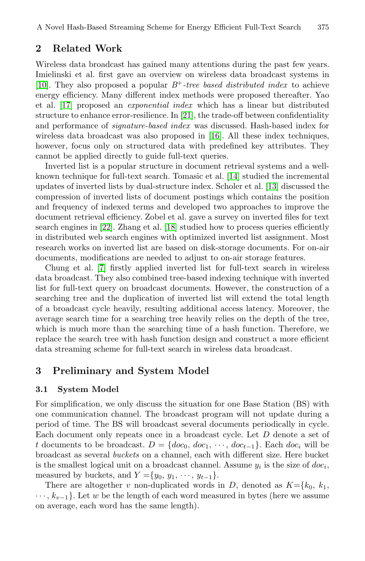## <span id="page-3-0"></span>**2 Related Work**

Wireless data broadcast ha[s](#page-16-8) [ga](#page-16-8)ined many attentions during the past few years. Imielinski et al. first gave an overview on wireless data broadcast systems in [10]. They also proposed a popular  $B^+$ -tree based distributed index to achieve energy efficiency. Many different [ind](#page-16-7)ex methods were proposed thereafter. Yao et al. [17] proposed an *exponential index* [wh](#page-16-9)ich has a linear but distributed structure to enhance error-resilience. In [21], the trade-off between confidentiality and performance of *signature-based index* was discussed. Hash-based index for wireless data broadcast was also proposed in [16]. All these index techniques, [ho](#page-16-6)wever, focus [only](#page-16-5) on structured data with predefined key attributes. They cannot be applied directly to guide full-text queries.

Inverted list is a popular structure in document retrieval systems and a wellknown technique for full-text search. Tomasic et al. [14] studied the incremental updates of inverted lists by dual-structure index. Scholer et al. [13] discussed the compression of inverted lists of document postings which contains the position and frequency of indexed terms and developed two approaches to improve the document retrieval efficiency. Zobel et al. gave a survey on inverted files for text search engines in [22]. Zhang et al. [18] studied how to process queries efficiently in distributed web search engines with optimized inverted list assignment. Most research works on inverted list are based on disk-storage documents. For on-air documents, modifications are needed to adjust to on-air storage features.

Chung et al. [7] firstly applied inverted list for full-text search in wireless data broadcast. They also combined tree-based indexing technique with inverted list for full-text query on broadcast documents. However, the construction of a searching tree and the duplication of inverted list will extend the total length of a broadcast cycle heavily, resulting additional access latency. Moreover, the average search time for a searching tree heavily relies on the depth of the tree, which is much more than the searching time of a hash function. Therefore, we replace the search tree with hash function design and construct a more efficient data streaming scheme for full-text search in wireless data broadcast.

## **3 Preliminary and System Model**

#### **3.1 System Model**

For simplification, we only discuss the situation for one Base Station (BS) with one communication channel. The broadcast program will not update during a period of time. The BS will broadcast several documents periodically in cycle. Each document only repeats once in a broadcast cycle. Let D denote a set of t documents to be broadcast.  $D = \{doc_0, doc_1, \cdots, doc_{t-1}\}.$  Each  $doc_i$  will be broadcast as several *buckets* on a channel, each with different size. Here bucket is the smallest logical unit on a broadcast channel. Assume  $y_i$  is the size of  $doc_i$ , measured by buckets, and  $Y = \{y_0, y_1, \dots, y_{t-1}\}.$ 

There are altogether v non-duplicated words in D, denoted as  $K=\{k_0, k_1,$  $\cdots$ ,  $k_{v-1}$ . Let w be the length of each word measured in bytes (here we assume on average, each word has the same length).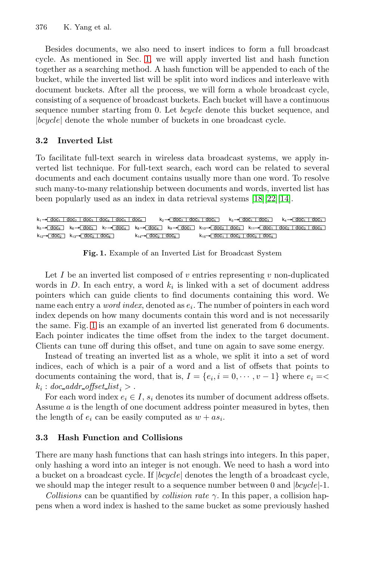Besides documents, we also need to insert indices to form a full broadcast cycle. As mentioned in Sec. 1, we will apply inverted list and hash function together as a searching method. A hash function will be appended to each of the bucket, while the inverted list will be split into word indices and interleave with document buckets. After all the process, we will form a whole broadcast cycle, consisting of a sequence of broadcast buckets. Each bucket will have a continuous sequence number starting from 0. Let *bcycle* denote this bucket sequence, and |bcycle| denote the whole number of bu[cket](#page-16-5)[s in](#page-16-6) [on](#page-16-7)e broadcast cycle.

#### **3.2 Inverted List**

To facilitate full-text search in wireless data broadcast systems, we apply inverted list technique. For full-text search, each word can be related to several documents and each document contains usually more than one word. To resolve such many-to-many relationship between documents and words, inverted list has been popularly used as an index in data retrieval systems [18][22][14].

| $k_1 \rightarrow$ doc <sub>1</sub> doc <sub>2</sub> doc <sub>3</sub> doc <sub>4</sub> doc <sub>5</sub> doc <sub>6</sub> doc <sub>6</sub> |                                                          |                                                                                                             | $k_2 \rightarrow$ doc <sub>2</sub> doc <sub>3</sub> doc <sub>5</sub> $k_3 \rightarrow$ doc <sub>1</sub> doc <sub>3</sub> $k_4 \rightarrow$ doc <sub>1</sub> doc <sub>3</sub>                                                                                                                                                                               |
|------------------------------------------------------------------------------------------------------------------------------------------|----------------------------------------------------------|-------------------------------------------------------------------------------------------------------------|------------------------------------------------------------------------------------------------------------------------------------------------------------------------------------------------------------------------------------------------------------------------------------------------------------------------------------------------------------|
|                                                                                                                                          |                                                          |                                                                                                             | $k_5 \rightarrow 0$ doc <sub>a</sub> $k_6 \rightarrow 0$ doc <sub>a</sub> $k_7 \rightarrow 0$ doc <sub>a</sub> $k_8 \rightarrow 0$ doc <sub>a</sub> $k_{10} \rightarrow 0$ doc <sub>a</sub> doc <sub>a</sub> $k_{11} \rightarrow 0$ doc <sub>a</sub> doc <sub>a</sub> doc <sub>a</sub> doc <sub>a</sub> doc <sub>a</sub> doc <sub>a</sub> doc <sub>a</sub> |
| $k_{12}$ doc <sub>2</sub> $k_{13}$ doc <sub>2</sub> doc <sub>6</sub>                                                                     | $k_{14}$ $\rightarrow$ doc <sub>2</sub> doc <sub>6</sub> | $k_{15}$ $\rightarrow$ doc <sub>1</sub> doc <sub>2</sub> doc <sub>3</sub> doc <sub>4</sub> doc <sub>4</sub> |                                                                                                                                                                                                                                                                                                                                                            |

<span id="page-4-0"></span>**Fig. 1.** Example of an Inverted List for Broadcast System

Let I be an inverted list composed of v entries representing v non-duplicated words in  $D$ . In each entry, a word  $k_i$  is linked with a set of document address pointers which can guide clients to find documents containing this word. We name each entry a *word index*, denoted as  $e_i$ . The number of pointers in each word index depends on how many documents contain this word and is not necessarily the same. Fig. 1 is an example of an inverted list generated from 6 documents. Each pointer indicates the time offset from the index to the target document. Clients can tune off during this offset, and tune on again to save some energy.

Instead of treating an inverted list as a whole, we split it into a set of word indices, each of which is a pair of a word and a list of offsets that points to documents containing the word, that is,  $I = \{e_i, i = 0, \dots, v - 1\}$  where  $e_i = \langle$  $k_i : doc\_addr\_offset\_list_i >$ .

For each word index  $e_i \in I$ ,  $s_i$  denotes its number of document address offsets. Assume a is the length of one document address pointer measured in bytes, then the length of  $e_i$  can be easily computed as  $w + as_i$ .

## **3.3 Hash Function and Collisions**

There are many hash functions that can hash strings into integers. In this paper, only hashing a word into an integer is not enough. We need to hash a word into a bucket on a broadcast cycle. If |bcycle| denotes the length of a broadcast cycle, we should map the integer result to a sequence number between 0 and  $|bcycle|$ -1.

*Collisions* can be quantified by *collision rate*  $\gamma$ . In this paper, a collision happens when a word index is hashed to the same bucket as some previously hashed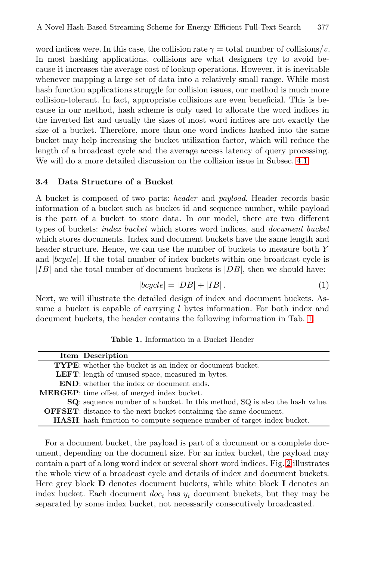word indices were. In this case, the collision rate  $\gamma =$  total number of collisions/v. In most hashing applications, collisions are what designers try to avoid because it increases the average cost of lookup operations. However, it is inevitable whenever mapping a large set of data into a relati[vely](#page-6-1) small range. While most hash function applications struggle for collision issues, our method is much more collision-tolerant. In fact, appropriate collisions are even beneficial. This is because in our method, hash scheme is only used to allocate the word indices in the inverted list and usually the sizes of most word indices are not exactly the size of a bucket. Therefore, more than one word indices hashed into the same bucket may help increasing the bucket utilization factor, which will reduce the length of a broadcast cycle and the average access latency of query processing. We will do a more detailed discussion on the collision issue in Subsec. 4.1.

#### **3.4 Data Structure of a Bucket**

A bucket is composed of two parts: *header* and *payload*. Header records basic information of a bucket such as bucket id and sequence number, while payload is the part of a bucket to store data. In our model, there are two different types of buckets: *index bucket* which stores word indices, and *document bucket* which stores documents. Index and document buckets [ha](#page-5-0)ve the same length and header structure. Hence, we can use the number of buckets to measure both Y and  $|bcycle|$ . If the total number of index buckets within one broadcast cycle is  $|IB|$  and the total number of document buckets is  $|DB|$ , then we should have:

$$
|bcycle| = |DB| + |IB|.
$$
 (1)

<span id="page-5-0"></span>Next, we will illustrate the detailed design of index and document buckets. Assume a bucket is capable of carrying l bytes information. For both index and document buckets, the header contains the following information in Tab. 1.

**Table 1.** Information in a Bucket Header

| <b>Item Description</b>                                                       |
|-------------------------------------------------------------------------------|
| <b>TYPE:</b> whether the bucket is an index or document bucket.               |
| <b>LEFT</b> : length of unused space, measured in bytes.                      |
| <b>END</b> : whether the index or document ends.                              |
| <b>MERGEP</b> : time offset of merged index bucket.                           |
| SQ: sequence number of a bucket. In this method, SQ is also the hash value.   |
| <b>OFFSET:</b> distance to the next bucket containing the same document.      |
| <b>HASH:</b> hash function to compute sequence number of target index bucket. |

For a document bucket, the payload is part of a document or a complete document, depending on the document size. For an index bucket, the payload may contain a part of a long word index or several short word indices. Fig. 2 illustrates the whole view of a broadcast cycle and details of index and document buckets. Here grey block **D** denotes document buckets, while white block **I** denotes an index bucket. Each document  $doc<sub>i</sub>$  has  $y<sub>i</sub>$  document buckets, but they may be separated by some index bucket, not necessarily consecutively broadcasted.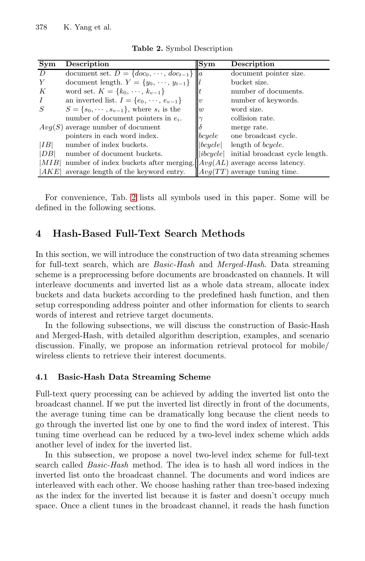**Table 2.** Symbol Description

<span id="page-6-2"></span>

| Sym               | Description                                                                | Sym                   | Description                     |
|-------------------|----------------------------------------------------------------------------|-----------------------|---------------------------------|
| D                 | document set. $D = \{doc_0, \dots, doc_{t-1}\}\ a\ $                       |                       | document pointer size.          |
|                   | document length. $Y = \{y_0, \dots, y_{t-1}\}\$                            |                       | bucket size.                    |
| K                 | word set. $K = \{k_0, \dots, k_{v-1}\}\$                                   |                       | number of documents.            |
|                   | an inverted list. $I = \{e_0, \dots, e_{v-1}\}\$                           | $\boldsymbol{v}$      | number of keywords.             |
|                   | $S = \{s_0, \dots, s_{n-1}\}\$ , where $s_i$ is the                        | w                     | word size.                      |
|                   | number of document pointers in $e_i$ .                                     |                       | collision rate.                 |
|                   | $Avg(S)$ average number of document                                        |                       | merge rate.                     |
|                   | pointers in each word index.                                               | bcycle                | one broadcast cycle.            |
| IB                | number of index buckets.                                                   | bcycle                | length of <i>bcycle</i> .       |
| IDBI              | number of document buckets.                                                | $\vert ibcycle \vert$ | initial broadcast cycle length. |
| $\vert MIB \vert$ | number of index buckets after merging. $ Avg(AL) $ average access latency. |                       |                                 |
| AKE               | average length of the keyword entry.                                       |                       | $Avq(TT)$ average tuning time.  |

<span id="page-6-0"></span>For convenience, Tab. 2 lists all symbols used in this paper. Some will be defined in the following sections.

# **4 Hash-Based Full-Text Search Methods**

<span id="page-6-1"></span>In this section, we will introduce the construction of two data streaming schemes for full-text search, which are *Basic-Hash* and *Merged-Hash*. Data streaming scheme is a preprocessing before documents are broadcasted on channels. It will interleave documents and inverted list as a whole data stream, allocate index buckets and data buckets according to the predefined hash function, and then setup corresponding address pointer and other information for clients to search words of interest and retrieve target documents.

In the following subsections, we will discuss the construction of Basic-Hash and Merged-Hash, with detailed algorithm description, examples, and scenario discussion. Finally, we propose an information retrieval protocol for mobile/ wireless clients to retrieve their interest documents.

## **4.1 Basic-Hash Data Streaming Scheme**

Full-text query processing can be achieved by adding the inverted list onto the broadcast channel. If we put the inverted list directly in front of the documents, the average tuning time can be dramatically long because the client needs to go through the inverted list one by one to find the word index of interest. This tuning time overhead can be reduced by a two-level index scheme which adds another level of index for the inverted list.

In this subsection, we propose a novel two-level index scheme for full-text search called *Basic-Hash* method. The idea is to hash all word indices in the inverted list onto the broadcast channel. The documents and word indices are interleaved with each other. We choose hashing rather than tree-based indexing as the index for the inverted list because it is faster and doesn't occupy much space. Once a client tunes in the broadcast channel, it reads the hash function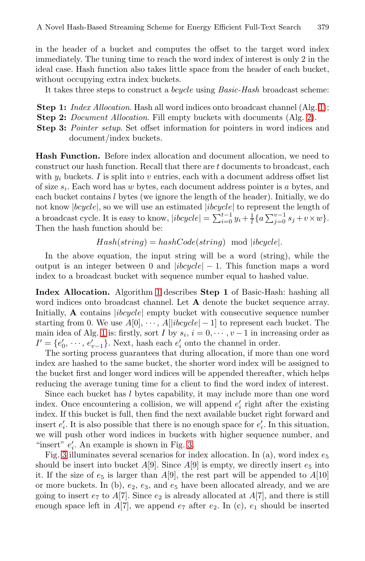in the header of a bucket and computes the offset to the target word index immediately. The tuning time to reach the word index of interest is only 2 in the ideal case. Hash function also takes little space from the header of each bucket, without occupying extra index buckets.

It takes three steps to construct a bcycle using *Basic-Hash* broadcast scheme:

- **Step 1:** *Index Allocation*. Hash all word indices onto broadcast channel (Alg. 1);
- **Step 2:** *Document Allocation*. Fill empty buckets with documents (Alg. 2).
- **Step 3:** *Pointer setup*. Set offset information for pointers in word indices and document/index buckets.

**Hash Function.** Before index allocation and document allocation, we need to construct our hash function. Recall that there are t documents to broadcast, each with  $y_i$  buckets. I is split into v entries, each with a document address offset list of size  $s_i$ . Each word has w bytes, each document address pointer is a bytes, and each bucket contains *l* bytes (we ignore the length of the header). Initially, we do not know  $|bcycle|$ , so we will use an estimated  $|ibcycle|$  to represent the length of a broadcast c[yc](#page-8-0)le. It is easy to know,  $|ibcycle| = \sum_{i=0}^{t-1} y_i + \frac{1}{l} \{a \sum_{j=0}^{v-1} s_j + v \times w\}.$ <br>Then the hash function should be: Then the hash function should be:

 $Hash(string) = hashCode(string) \mod |ibcycle|.$ 

In the above equation, the input string will be a word (string), while the output is an integer between 0 and  $|ibcycle| - 1$ . This function maps a word index to a broadcast bucket with sequence number equal to hashed value.

**Index Allocation.** Algorithm 1 describes **Step 1** of Basic-Hash: hashing all word indices onto broadcast channel. Let **A** denote the bucket sequence array. Initially, **A** contains  $\vert ibcycle \vert$  empty bucket with consecutive sequence number starting from 0. We use  $A[0], \dots, A[|bcycle|-1]$  to represent each bucket. The main idea of Alg. 1 is: firstly, sort I by  $s_i$ ,  $i = 0, \dots, v - 1$  in increasing order as  $I' = \{e'_0, \dots, e'_{v-1}\}.$  Next, hash each  $e'_i$  onto the channel in order.<br>The section process guarantees that during allocation if more to

The sorting process guarantees that during allocation, if more than one word index are hashed to t[he](#page-8-1) same bucket, the shorter word index will be assigned to the bucket first and longer word indices will be appended thereafter, which helps reducing the average tuning time for a client to find the word index of interest.

Since each bucket has l bytes capability, it may include more than one word index. Once encountering a collision, we will append  $e'_i$  right after the existing index. If this bucket is full, then find the next available bucket right forward and index. If this bucket is full, then find the next available bucket right forward and insert  $e'_i$ . It is also possible that there is no enough space for  $e'_i$ . In this situation, we will push other word indices in buckets with higher sequence number, and "insert"  $e'_i$ . An example is shown in Fig. 3.<br>Fig. 3 illuminates soveral scoperies for in

Fig. 3 illuminates several scenarios for index allocation. In (a), word index  $e_5$ should be insert into bucket  $A[9]$ . Since  $A[9]$  is empty, we directly insert  $e_5$  into it. If the size of  $e_5$  is larger than  $A[9]$ , the rest part will be appended to  $A[10]$ or more buckets. In (b),  $e_2$ ,  $e_3$ , and  $e_5$  have been allocated already, and we are going to insert  $e_7$  to  $A[7]$ . Since  $e_2$  is already allocated at  $A[7]$ , and there is still enough space left in  $A[7]$ , we append  $e_7$  after  $e_2$ . In (c),  $e_1$  should be inserted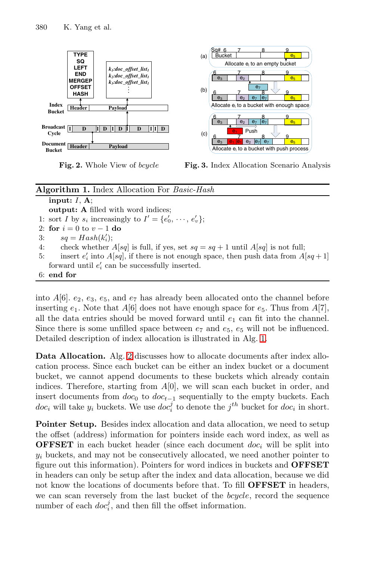

**Fig. 2.** Whole View of bcycle

<span id="page-8-1"></span>**Fig. 3.** Index Allocation Scenario Analysis

<span id="page-8-0"></span>

into  $A[6]$ .  $e_2$ ,  $e_3$ ,  $e_5$ , and  $e_7$  has already been allocated onto the channel before inserting  $e_1$ . Note that  $A[6]$  does not have enough space for  $e_5$ . Thus from  $A[7]$ , all the data entries should be moved forward until  $e_1$  can fit into the channel. Since there is some unfilled space between  $e_7$  and  $e_5$ ,  $e_5$  will not be influenced. Detailed description of index allocation is illustrated in Alg. 1.

**Data Allocation.** Alg. 2 discusses how to allocate documents after index allocation process. Since each bucket can be either an index bucket or a document bucket, we cannot append documents to these buckets which already contain indices. Therefore, starting from  $A[0]$ , we will scan each bucket in order, and insert documents from  $doc_0$  to  $doc_{t-1}$  sequentially to the empty buckets. Each  $doc_i$  will take  $y_i$  buckets. We use  $doc_i^j$  to denote the  $j^{th}$  bucket for  $doc_i$  in short.

**Pointer Setup.** Besides index allocation and data allocation, we need to setup the offset (address) information for pointers inside each word index, as well as **OFFSET** in each bucket header (since each document  $doc<sub>i</sub>$  will be split into  $y_i$  buckets, and may not be consecutively allocated, we need another pointer to figure out this information). Pointers for word indices in buckets and **OFFSET** in headers can only be setup after the index and data allocation, because we did not know the locations of documents before that. To fill **OFFSET** in headers, we can scan reversely from the last bucket of the *bcycle*, record the sequence number of each  $doc<sub>i</sub><sup>j</sup>$ , and then fill the offset information.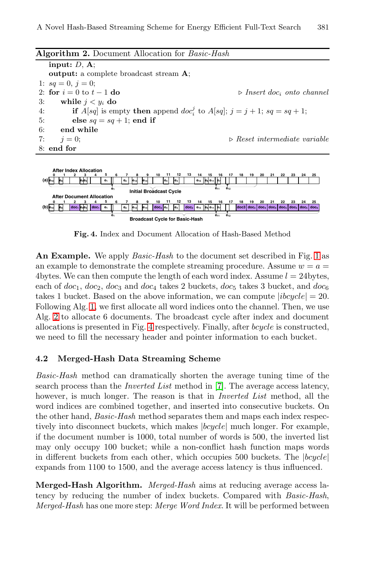<span id="page-9-0"></span>**Algorithm 2.** Document Allocation for *Basic-Hash* **input:** D, **A**; **output:** a complete broadcast stream **A**; 1:  $sq = 0, j = 0;$ 2: **for**  $i = 0$  to  $t - 1$  **do**  $\triangleright$  *Insert doc<sub>i</sub> onto channel*<br>3: while  $j < y_i$  **do** while  $j < y_i$  do 4: **if**  $A[sq]$  is empty **then** append  $doc_i^j$  to  $A[sq]$ ;  $j = j + 1$ ;  $sq = sq + 1$ ; 5: **else**  $sq = sq + 1$ ; **end if** 6: **end while** 7:  $j = 0$ ;  $\triangleright$  *Reset intermediate variable* 8: **end for After Index Allocation** 



<span id="page-9-1"></span>**Fig. 4.** Index and Document Allocation of Hash-Based Method

**An Exam[ple](#page-9-1).** We apply *Basic-Hash* to the document set described in Fig. 1 as an example to demonstrate the complete streaming procedure. Assume  $w = a$ 4bytes. We can then compute the length of each word index. Assume  $l = 24$  bytes, each of  $doc_1$ ,  $doc_2$ ,  $doc_3$  and  $doc_4$  takes 2 buckets,  $doc_5$  takes 3 bucket, and  $doc_6$ takes 1 bucket. Based on the above information, we can compute  $|ibcycle| = 20$ . Following Alg. 1, we first alloc[at](#page-15-5)e all word indices onto the channel. Then, we use Alg. 2 to allocate 6 documents. The broadcast cycle after index and document allocations is presented in Fig. 4 respectively. Finally, after bcycle is constructed, we need to fill the necessary header and pointer information to each bucket.

### **4.2 Merged-Hash Data Streaming Scheme**

*Basic-Hash* method can dramatically shorten the average tuning time of the search process than the *Inverted List* method in [7]. The average access latency, however, is much longer. The reason is that in *Inverted List* method, all the word indices are combined together, and inserted into consecutive buckets. On the other hand, *Basic-Hash* method separates them and maps each index respectively into disconnect buckets, which makes |bcycle| much longer. For example, if the document number is 1000, total number of words is 500, the inverted list may only occupy 100 bucket; while a non-conflict hash function maps words in different buckets from each other, which occupies 500 buckets. The |bcycle| expands from 1100 to 1500, and the average access latency is thus influenced.

**Merged-Hash Algorithm.** *Merged-Hash* aims at reducing average access latency by reducing the number of index buckets. Compared with *Basic-Hash*, *Merged-Hash* has one more step: *Merge Word Index*. It will be performed between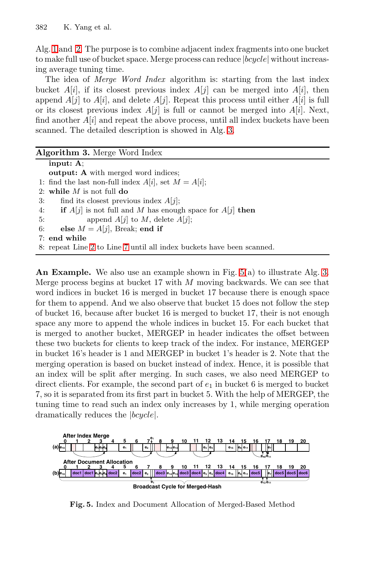Alg. 1 and 2. The purpose is to co[m](#page-10-0)bine adjacent index fragments into one bucket to make full use of bucket space. Merge process can reduce  $|bcycle|$  without increasing average tuning time.

<span id="page-10-0"></span>The idea of *Merge Word Index* algorithm is: starting from the last index bucket  $A[i]$ , if its closest previous index  $A[j]$  can be merged into  $A[i]$ , then append  $A[j]$  to  $A[i]$ , and delete  $A[j]$ . Repeat this process until either  $A[i]$  is full or its closest previous index  $A[i]$  is full or cannot be merged into  $A[i]$ . Next, find another  $A[i]$  and repeat the above process, until all index buckets have been scanned. The detailed description is showed in Alg. 3.

| <b>Algorithm 3.</b> Merge Word Index                                      |  |  |
|---------------------------------------------------------------------------|--|--|
| input: $A$ :                                                              |  |  |
| <b>output:</b> A with merged word indices;                                |  |  |
| 1: find the last non-full index $A[i]$ , set $M = A[i]$ ;                 |  |  |
| 2: while $M$ is not full do                                               |  |  |
| find its closest previous index $A[j]$ ;<br>3:                            |  |  |
| <b>if</b> $A[i]$ is not full and M has enough space for $A[i]$ then<br>4: |  |  |
| append $A[j]$ to M, delete $A[j]$ ;<br>5:                                 |  |  |
| else $M = A[j]$ , Break; end if<br>6:                                     |  |  |
| 7: end while                                                              |  |  |
| 8: repeat Line 2 to Line 7 until all index buckets have been scanned.     |  |  |

An Example. We also use an example shown in Fig. 5(a) to illustrate Alg. 3. Merge process begins at bucket 17 with M moving backwards. We can see that word indices in bucket 16 is merged in bucket 17 because there is enough space for them to append. And we also observe that bucket 15 does not follow the step of bucket 16, because after bucket 16 is merged to bucket 17, their is not enough space any more to append the whole indices in bucket 15. For each bucket that is merged to another bucket, MERGEP in header indicates the offset between these two buckets for clients to keep track of the index. For instance, MERGEP in bucket 16's header is 1 and MERGEP in bucket 1's header is 2. Note that the merging operation is based on bucket instead of index. Hence, it is possible that an index will be split after merging. In such cases, we also need MERGEP to direct clients. For example, the second part of  $e_1$  in bucket 6 is merged to bucket 7, so it is separated from its first part in bucket 5. With the help of MERGEP, the tuning time to read such an index only increases by 1, while merging operation dramatically reduces the |bcycle|.



<span id="page-10-1"></span>**Fig. 5.** Index and Document Allocation of Merged-Based Method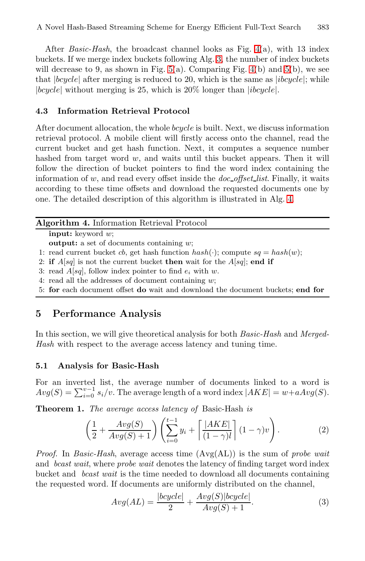After *Basic-Hash*, the broadcast channel looks as Fig. 4(a), with 13 index buckets. If we merge index buckets following Alg. 3, the number of index buckets will decrease to 9, as shown in Fig.  $5(a)$ . Comparing Fig.  $4(b)$  and  $5(b)$ , we see that  $|bcucle|$  after merging is reduced to 20, which is the same as  $|ibcucle|$ ; while  $|bcycle|$  without merging is 25, which is 20% longer than  $|ibcycle|$ .

### **4.3 Information Retrieval Protocol**

<span id="page-11-1"></span>After document allocation, the whole bcycle is bui[lt.](#page-11-1) Next, we discuss information retrieval protocol. A mobile client will firstly access onto the channel, read the current bucket and get hash function. Next, it computes a sequence number hashed from target word  $w$ , and waits until this bucket appears. Then it will follow the direction of bucket pointers to find the word index containing the information of w, and read every offset inside the *doc offset list*. Finally, it waits according to these time offsets and download the requested documents one by one. The detailed description of this algorithm is illustrated in Alg. 4.

<span id="page-11-0"></span>

| Algorithm 4. Information Retrieval Protocol |  |  |  |
|---------------------------------------------|--|--|--|
|---------------------------------------------|--|--|--|

|  | <b>input:</b> keyword $w$ ; |  |
|--|-----------------------------|--|
|--|-----------------------------|--|

**output:** a set of documents containing w;

1: read current bucket *cb*, get hash function  $hash(\cdot)$ ; compute  $sq = hash(w)$ ;

2: **if**  $A[sq]$  is not the current bucket **then** wait for the  $A[sq]$ ; **end if** 

- 3: read  $A[sq]$ , follow index pointer to find  $e_i$  with w.
- 4: read all the addresses of document containing  $w$ :
- 5: **for** each document offset **do** wait and download the document buckets; **end for**

## **5 Performance Analysis**

In this section, we will give theoretical analysis for both *Basic-Hash* and *Merged-Hash* with respect to the average access latency and tuning time.

#### **5.1 Analysis for Basic-Hash**

For an inverted list, the average number of documents linked to a word is  $Avg(S) = \sum_{i=0}^{v-1} s_i/v$ . The average length of a word index  $|AKE| = w + aAvg(S)$ .

**Theorem 1.** *The average access latency of* Basic-Hash *is*

$$
\left(\frac{1}{2} + \frac{Avg(S)}{Avg(S) + 1}\right) \left(\sum_{i=0}^{t-1} y_i + \left\lceil \frac{|AKE|}{(1-\gamma)l} \right\rceil (1-\gamma)v\right). \tag{2}
$$

*Proof.* In *Basic-Hash*, average access time (Avg(AL)) is the sum of *probe wait* and *bcast wait*, where *probe wait* denotes the latency of finding target word index bucket and *bcast wait* is the time needed to download all documents containing the requested word. If documents are uniformly distributed on the channel,

<span id="page-11-2"></span>
$$
Avg(AL) = \frac{|bcycle|}{2} + \frac{Avg(S)|bcycle|}{Avg(S) + 1}.
$$
\n(3)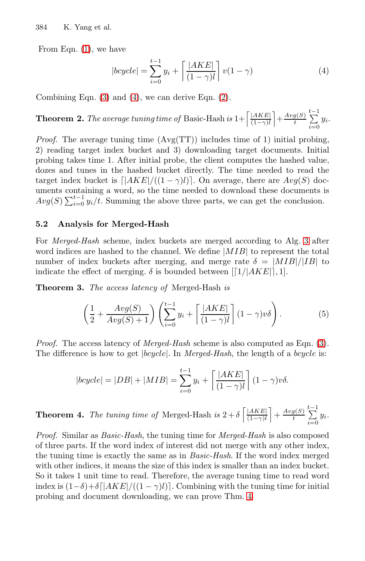From Eqn. (1), we have

$$
|bcycle| = \sum_{i=0}^{t-1} y_i + \left\lceil \frac{|AKE|}{(1-\gamma)l} \right\rceil v(1-\gamma) \tag{4}
$$

Combining Eqn. (3) and (4), we can derive Eqn. (2).

**Theorem 2.** *The average tuning time of* Basic-Hash *is*  $1 + \left[ \frac{|AKE|}{(1-\gamma)l} \right]$  $+\frac{Avg(S)}{t}$  $\sum_{ }^{t-1}$  $\sum_{i=0} y_i$ .

*Proof.* The average tuning time  $(Avg(TT))$  includes time of 1) initial probing, 2) reading target index bucket and 3) downloading target documents. Initial probing takes time 1. After initial probe, the client c[om](#page-10-0)putes the hashed value, dozes and tunes in the hashed bucket directly. The time needed to read the target index bucket is  $\left[|AKE|/((1 - \gamma)l)\right]$ . On average, there are  $Avg(S)$  documents containing a word, so the time needed to download these documents is  $Avg(S)\sum_{i=0}^{t-1} y_i/t$ . Summing the above three parts, we can get the conclusion.

## **5.2 Analysis for Merged-Hash**

For *Merged-Hash* scheme, index buckets are merged according to Alg. 3 after word indices are hashed to the channel. We define  $|MIB|$  to represent the total number of index buckets after merging, and merge rate  $\delta = |MIB|/|IB|$  to indicate the effect of merging.  $\delta$  is bounded between  $\left[ \frac{1}{|AKE|} \right], 1$  $\left[ \frac{1}{|AKE|} \right], 1$  $\left[ \frac{1}{|AKE|} \right], 1$ .

<span id="page-12-0"></span>**Theorem 3.** *The access latency of* Merged-Hash *is*

$$
\left(\frac{1}{2} + \frac{Avg(S)}{Avg(S) + 1}\right) \left(\sum_{i=0}^{t-1} y_i + \left\lceil \frac{|AKE|}{(1-\gamma)l} \right\rceil (1-\gamma)v\delta\right). \tag{5}
$$

*Proof.* The access latency of *Merged-Hash* scheme is also computed as Eqn. (3). The difference is how to get |bcycle|. In *Merged-Hash*, the length of a bcycle is:

$$
|bcycle| = |DB| + |MIB| = \sum_{i=0}^{t-1} y_i + \left\lceil \frac{|AKE|}{(1-\gamma)l} \right\rceil (1-\gamma)v\delta.
$$

**Theorem 4.** *The tuning time of* Me[rge](#page-12-0)d-Hash *is*  $2 + \delta \left[ \frac{|AKE|}{(1-\gamma)l} \right]$  $+$   $\frac{Avg(S)}{t}$  $\sum_{ }^{t-1}$  $\sum_{i=0} y_i$ .

*Proof.* Similar as *Basic-Hash*, the tuning time for *Merged-Hash* is also composed of three parts. If the word index of interest did not merge with any other index, the tuning time is exactly the same as in *Basic-Hash*. If the word index merged with other indices, it means the size of this index is smaller than an index bucket. So it takes 1 unit time to read. Therefore, the average tuning time to read word index is  $(1-\delta)+\delta[|AKE|/((1-\gamma)l)]$ . Combining with the tuning time for initial probing and document downloading, we can prove Thm. 4.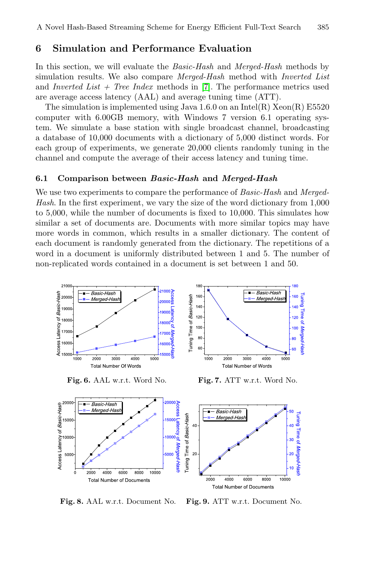# **6 Simulation and Performance Evaluation**

In this section, we will evaluate the *Basic-Hash* and *Merged-Hash* methods by simulation results. We also compare *Merged-Hash* method with *Inverted List* and *Inverted List + Tree Index* methods in [7]. The performance metrics used are average access latency (AAL) and average tuning time (ATT).

The simulation is implemented using Java 1.6.0 on an Intel(R)  $Xeon(R) E5520$ computer with 6.00GB memory, with Windows 7 version 6.1 operating system. We simulate a base station with single broadcast channel, broadcasting a database of 10,000 documents with a dictionary of 5,000 distinct words. For each group of experiments, we generate 20,000 clients randomly tuning in the channel and compute the average of their access latency and tuning time.

#### **6.1 Comparison between** *Basic-Hash* **and** *Merged-Hash*

We use two experiments to compare the performance of *Basic-Hash* and *Merged-Hash*. In the first experiment, we vary the size of the word dictionary from 1,000 to 5,000, while the number of documents is fixed to 10,000. This simulates how similar a set of documents are. Documents with more similar topics may have more words in common, which results in a smaller dictionary. The content of each document is randomly generated from the dictionary. The repetitions of a word in a document is uniformly distributed between 1 and 5. The number of non-replicated words contained in a document is set between 1 and 50.



<span id="page-13-0"></span>**Fig. 8.** AAL w.r.t. Document No. **Fig. 9.** ATT w.r.t. Document No.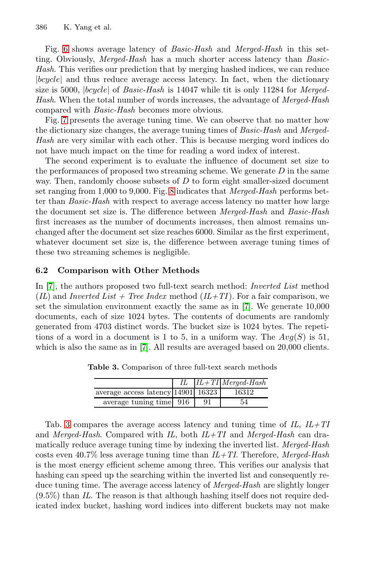Fig. 6 shows average latency of *Basic-Hash* and *Merged-Hash* in this setting. Obviously, *Merged-Hash* has a much shorter access latency than *Basic-Hash*. This verifies our prediction that by merging hashed indices, we can reduce |bcycle| and thus reduce average access latency. In fact, when the dictionary size is 5000, |bcycle| of *Basic-Hash* is 14047 while tit is only 11284 for *Merged-Hash*. When the total number of words increases, the advantage of *Merged-Hash* compared with *[Bas](#page-13-0)ic-Hash* becomes more obvious.

Fig. 7 presents the average tuning time. We can observe that no matter how the dictionary size changes, the average tuning times of *Basic-Hash* and *Merged-Hash* are very similar with each other. This is because merging word indices do not have much impact on the time for reading a word index of interest.

The second experiment is to evaluate the influence of document set size to the performances of proposed two streaming scheme. We generate  $D$  in the same way. Then, randomly choose subsets of  $D$  to form eight smaller-sized document set ranging from 1,000 to 9,000. Fig. 8 indicates that *Merged-Hash* performs better than *Basic-Hash* with respect to average access latency no matter how large the document set size is. The difference between *Merged-Hash* and *Basic-Hash* first increases as the number of documents increases, then almost remains unchanged after the document set size r[eac](#page-15-5)hes 6000. Similar as the first experiment, whatever document set size is, the difference between average tuning times of these two streaming schemes is negligible.

### **6.2 Co[m](#page-15-5)parison with Other Methods**

In [7], the authors proposed two full-text search method: *Inverted List* method  $(IL)$  and *Inverted List + Tree Index* method  $(IL+TI)$ . For a fair comparison, we set the simulation environment exactly the same as in [7]. We generate 10,000 documents, each of size 1024 bytes. The contents of documents are randomly generated from 4703 distinct words. The bucket size is 1024 bytes. The repetitions of a word in a document is 1 to 5, in a uniform way. The  $Avg(S)$  is 51, which is also the same as in [7]. All results are averaged based on 20,000 clients.

|                                        |    | $IL + TI$ Merged-Hash |
|----------------------------------------|----|-----------------------|
| average access latency $14901$ $16323$ |    | 16312                 |
| average tuning time 916                | 91 | 54                    |

**Table 3.** Comparison of three full-text search methods

Tab. 3 compares the average access latency and tuning time of *IL*, *IL+TI* and *Merged-Hash*. Compared with *IL*, both *IL+TI* and *Merged-Hash* can dramatically reduce average tuning time by indexing the inverted list. *Merged-Hash* costs even 40.7% less average tuning time than *IL+TI*. Therefore, *Merged-Hash* is the most energy efficient scheme among three. This verifies our analysis that hashing can speed up the searching within the inverted list and consequently reduce tuning time. The average access latency of *Merged-Hash* are slightly longer (9.5%) than *IL*. The reason is that although hashing itself does not require dedicated index bucket, hashing word indices into different buckets may not make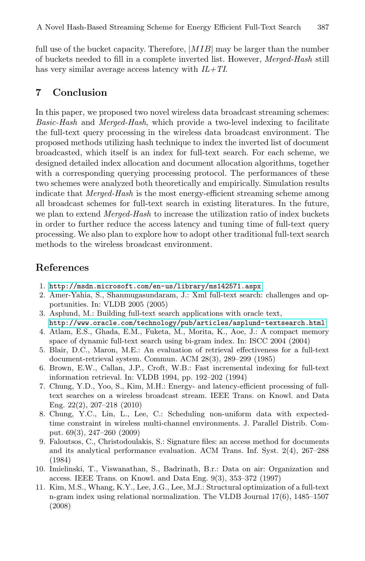full use of the bucket capacity. Therefore,  $|MIB|$  may be larger than the number of buckets needed to fill in a complete inverted list. However, *Merged-Hash* still has very similar average access latency with *IL+TI*.

# **7 Conclusion**

In this paper, we proposed two novel wireless data broadcast streaming schemes: *Basic-Hash* and *Merged-Hash*, which provide a two-level indexing to facilitate the full-text query processing in the wireless data broadcast environment. The proposed methods utilizing hash technique to index the inverted list of document broadcasted, which itself is an index for full-text search. For each scheme, we designed detailed index allocation and document allocation algorithms, together with a corresponding querying processing protocol. The performances of these two schemes were analyzed both theoretically and empirically. Simulation results indicate that *Merged-Hash* is the most energy-efficient streaming scheme among [all broadcast schemes for full-text search](http://msdn.microsoft.com/en-us/library/ms142571.aspx) in existing literatures. In the future, we plan to extend *Merged-Hash* to increase the utilization ratio of index buckets in order to further reduce the access latency and tuning time of full-text query processing. We also plan to explore how to adopt other traditional full-text search [methods to the wireless broadcast environment.](http://www.oracle.com/technology/pub/articles/asplund-textsearch.html)

## <span id="page-15-2"></span><span id="page-15-1"></span><span id="page-15-0"></span>**References**

- 1. http://msdn.microsoft.com/en-us/library/ms142571.aspx
- <span id="page-15-5"></span>2. Amer-Yahia, S., Shanmugasundaram, J.: Xml full-text search: challenges and opportunities. In: VLDB 2005 (2005)
- 3. Asplund, M.: Building full-text search applications with oracle text, http://www.oracle.com/technology/pub/articles/asplund-textsearch.html
- <span id="page-15-4"></span>4. Atlam, E.S., Ghada, E.M., Fuketa, M., Morita, K., Aoe, J.: A compact memory space of dynamic full-text search using bi-gram index. In: ISCC 2004 (2004)
- 5. Blair, D.C., Maron, M.E.: An evaluation of retrieval effectiveness for a full-text document-retrieval system. Commun. ACM 28(3), 289–299 (1985)
- 6. Brown, E.W., Callan, J.P., Croft, W.B.: Fast incremental indexing for full-text information retrieval. In: VLDB 1994, pp. 192–202 (1994)
- <span id="page-15-3"></span>7. Chung, Y.D., Yoo, S., Kim, M.H.: Energy- and latency-efficient processing of fulltext searches on a wireless broadcast stream. IEEE Trans. on Knowl. and Data Eng. 22(2), 207–218 (2010)
- 8. Chung, Y.C., Lin, L., Lee, C.: Scheduling non-uniform data with expectedtime constraint in wireless multi-channel environments. J. Parallel Distrib. Comput. 69(3), 247–260 (2009)
- 9. Faloutsos, C., Christodoulakis, S.: Signature files: an access method for documents and its analytical performance evaluation. ACM Trans. Inf. Syst. 2(4), 267–288 (1984)
- 10. Imielinski, T., Viswanathan, S., Badrinath, B.r.: Data on air: Organization and access. IEEE Trans. on Knowl. and Data Eng. 9(3), 353–372 (1997)
- 11. Kim, M.S., Whang, K.Y., Lee, J.G., Lee, M.J.: Structural optimization of a full-text n-gram index using relational normalization. The VLDB Journal 17(6), 1485–1507 (2008)